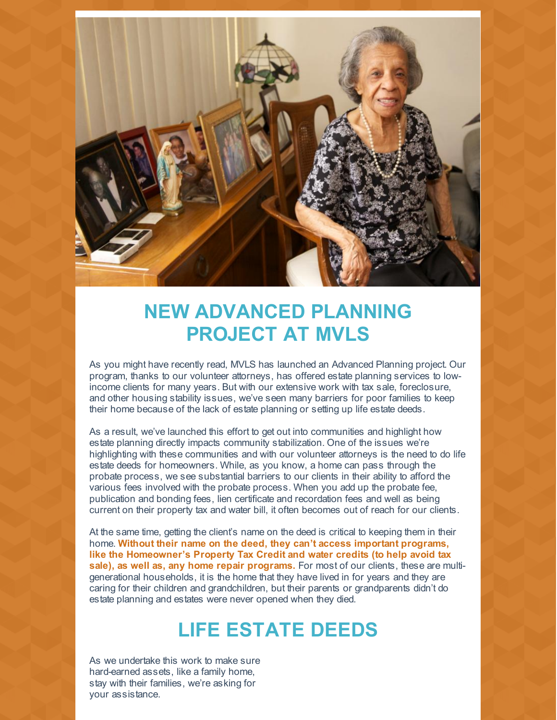

## **NEW ADVANCED PLANNING PROJECT AT MVLS**

As you might have recently read, MVLS has launched an Advanced Planning project. Our program, thanks to our volunteer attorneys, has offered estate planning services to lowincome clients for many years. But with our extensive work with tax sale, foreclosure, and other housing stability issues, we've seen many barriers for poor families to keep their home because of the lack of estate planning or setting up life estate deeds.

As a result, we've launched this effort to get out into communities and highlight how estate planning directly impacts community stabilization. One of the issues we're highlighting with these communities and with our volunteer attorneys is the need to do life estate deeds for homeowners. While, as you know, a home can pass through the probate process, we see substantial barriers to our clients in their ability to afford the various fees involved with the probate process. When you add up the probate fee, publication and bonding fees, lien certificate and recordation fees and well as being current on their property tax and water bill, it often becomes out of reach for our clients.

At the same time, getting the client's name on the deed is critical to keeping them in their home. **Without their name on the deed, they can't access important programs, like the Homeowner's Property Tax Credit and water credits (to help avoid tax sale), as well as, any home repair programs.** For most of our clients, these are multigenerational households, it is the home that they have lived in for years and they are caring for their children and grandchildren, but their parents or grandparents didn't do estate planning and estates were never opened when they died.

## **LIFE ESTATE DEEDS**

As we undertake this work to make sure hard-earned assets, like a family home, stay with their families, we're asking for your assistance.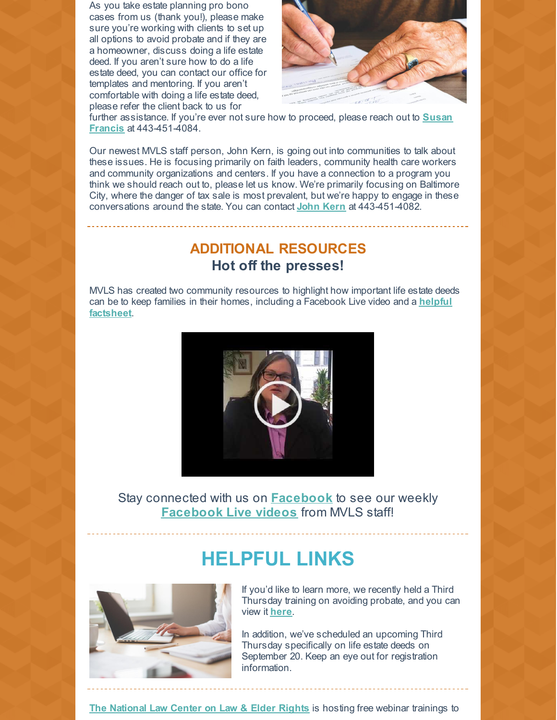As you take estate planning pro bono cases from us (thank you!), please make sure you're working with clients to set up all options to avoid probate and if they are a homeowner, discuss doing a life estate deed. If you aren't sure how to do a life estate deed, you can contact our office for templates and mentoring. If you aren't comfortable with doing a life estate deed, please refer the client back to us for



further assistance. If you're ever not sure how to proceed, please reach out to **Susan Francis** at [443-451-4084.](mailto:sfrancis@mvlslaw.org)

Our newest MVLS staff person, John Kern, is going out into communities to talk about these issues. He is focusing primarily on faith leaders, community health care workers and community organizations and centers. If you have a connection to a program you think we should reach out to, please let us know. We're primarily focusing on Baltimore City, where the danger of tax sale is most prevalent, but we're happy to engage in these conversations around the state. You can contact **[John](mailto:jkern@mvlslaw.org) Kern** at 443-451-4082.

## **ADDITIONAL RESOURCES Hot off the presses!**

MVLS has created two community resources to highlight how important life estate deeds can be to keep families in their homes, including a [Facebook](https://mvlslaw.org/wp-content/uploads/2018/04/Life-Estate-Deeds.pdf) Live video and a **helpful factsheet**.



Stay connected with us on **[Facebook](https://www.facebook.com/MVLSProBono/)** to see our weekly **[Facebook](https://mvlslaw.org/fb-live/) Live videos** from MVLS staff!

## **HELPFUL LINKS**



If you'd like to learn more, we recently held a Third Thursday training on avoiding probate, and you can view it **[here](https://youtu.be/ldk_cod5kjs)**.

In addition, we've scheduled an upcoming Third Thursday specifically on life estate deeds on September 20. Keep an eye out for registration information.

**The [National](https://ncler.acl.gov/) Law Center on Law & Elder Rights** is hosting free webinar trainings to